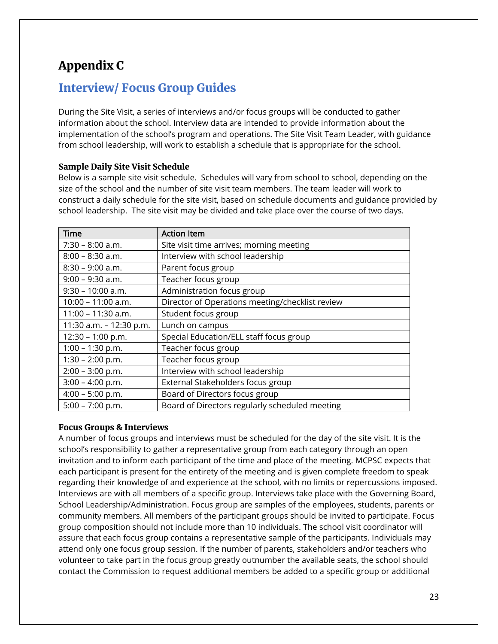# Appendix C

## Interview/ Focus Group Guides

During the Site Visit, a series of interviews and/or focus groups will be conducted to gather information about the school. Interview data are intended to provide information about the implementation of the school's program and operations. The Site Visit Team Leader, with guidance from school leadership, will work to establish a schedule that is appropriate for the school.

### Sample Daily Site Visit Schedule

Below is a sample site visit schedule. Schedules will vary from school to school, depending on the size of the school and the number of site visit team members. The team leader will work to construct a daily schedule for the site visit, based on schedule documents and guidance provided by school leadership. The site visit may be divided and take place over the course of two days.

| <b>Time</b>             | <b>Action Item</b>                              |
|-------------------------|-------------------------------------------------|
| $7:30 - 8:00$ a.m.      | Site visit time arrives; morning meeting        |
| $8:00 - 8:30$ a.m.      | Interview with school leadership                |
| $8:30 - 9:00$ a.m.      | Parent focus group                              |
| $9:00 - 9:30$ a.m.      | Teacher focus group                             |
| $9:30 - 10:00$ a.m.     | Administration focus group                      |
| $10:00 - 11:00$ a.m.    | Director of Operations meeting/checklist review |
| $11:00 - 11:30$ a.m.    | Student focus group                             |
| 11:30 a.m. - 12:30 p.m. | Lunch on campus                                 |
| 12:30 - 1:00 p.m.       | Special Education/ELL staff focus group         |
| $1:00 - 1:30 p.m.$      | Teacher focus group                             |
| $1:30 - 2:00 p.m.$      | Teacher focus group                             |
| $2:00 - 3:00$ p.m.      | Interview with school leadership                |
| $3:00 - 4:00 p.m.$      | External Stakeholders focus group               |
| $4:00 - 5:00$ p.m.      | Board of Directors focus group                  |
| $5:00 - 7:00 p.m.$      | Board of Directors regularly scheduled meeting  |

### Focus Groups & Interviews

A number of focus groups and interviews must be scheduled for the day of the site visit. It is the school's responsibility to gather a representative group from each category through an open invitation and to inform each participant of the time and place of the meeting. MCPSC expects that each participant is present for the entirety of the meeting and is given complete freedom to speak regarding their knowledge of and experience at the school, with no limits or repercussions imposed. Interviews are with all members of a specific group. Interviews take place with the Governing Board, School Leadership/Administration. Focus group are samples of the employees, students, parents or community members. All members of the participant groups should be invited to participate. Focus group composition should not include more than 10 individuals. The school visit coordinator will assure that each focus group contains a representative sample of the participants. Individuals may attend only one focus group session. If the number of parents, stakeholders and/or teachers who volunteer to take part in the focus group greatly outnumber the available seats, the school should contact the Commission to request additional members be added to a specific group or additional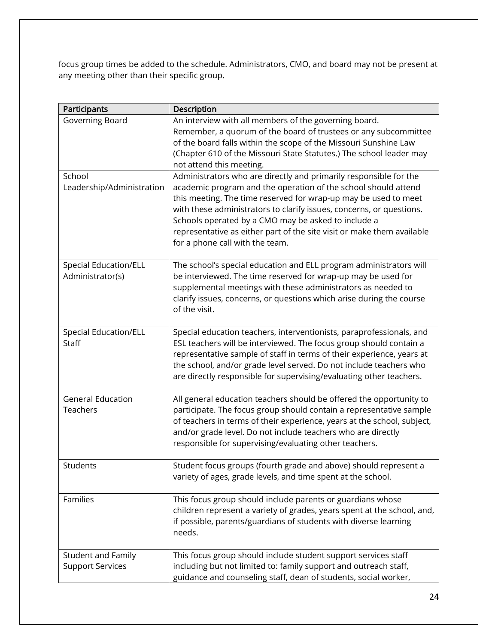focus group times be added to the schedule. Administrators, CMO, and board may not be present at any meeting other than their specific group.

| Participants                                         | Description                                                                                                                                                                                                                                                                                                                                                                                                                                        |
|------------------------------------------------------|----------------------------------------------------------------------------------------------------------------------------------------------------------------------------------------------------------------------------------------------------------------------------------------------------------------------------------------------------------------------------------------------------------------------------------------------------|
| Governing Board                                      | An interview with all members of the governing board.<br>Remember, a quorum of the board of trustees or any subcommittee<br>of the board falls within the scope of the Missouri Sunshine Law<br>(Chapter 610 of the Missouri State Statutes.) The school leader may<br>not attend this meeting.                                                                                                                                                    |
| School<br>Leadership/Administration                  | Administrators who are directly and primarily responsible for the<br>academic program and the operation of the school should attend<br>this meeting. The time reserved for wrap-up may be used to meet<br>with these administrators to clarify issues, concerns, or questions.<br>Schools operated by a CMO may be asked to include a<br>representative as either part of the site visit or make them available<br>for a phone call with the team. |
| <b>Special Education/ELL</b><br>Administrator(s)     | The school's special education and ELL program administrators will<br>be interviewed. The time reserved for wrap-up may be used for<br>supplemental meetings with these administrators as needed to<br>clarify issues, concerns, or questions which arise during the course<br>of the visit.                                                                                                                                                       |
| <b>Special Education/ELL</b><br>Staff                | Special education teachers, interventionists, paraprofessionals, and<br>ESL teachers will be interviewed. The focus group should contain a<br>representative sample of staff in terms of their experience, years at<br>the school, and/or grade level served. Do not include teachers who<br>are directly responsible for supervising/evaluating other teachers.                                                                                   |
| <b>General Education</b><br>Teachers                 | All general education teachers should be offered the opportunity to<br>participate. The focus group should contain a representative sample<br>of teachers in terms of their experience, years at the school, subject,<br>and/or grade level. Do not include teachers who are directly<br>responsible for supervising/evaluating other teachers.                                                                                                    |
| Students                                             | Student focus groups (fourth grade and above) should represent a<br>variety of ages, grade levels, and time spent at the school.                                                                                                                                                                                                                                                                                                                   |
| Families                                             | This focus group should include parents or guardians whose<br>children represent a variety of grades, years spent at the school, and,<br>if possible, parents/guardians of students with diverse learning<br>needs.                                                                                                                                                                                                                                |
| <b>Student and Family</b><br><b>Support Services</b> | This focus group should include student support services staff<br>including but not limited to: family support and outreach staff,<br>guidance and counseling staff, dean of students, social worker,                                                                                                                                                                                                                                              |